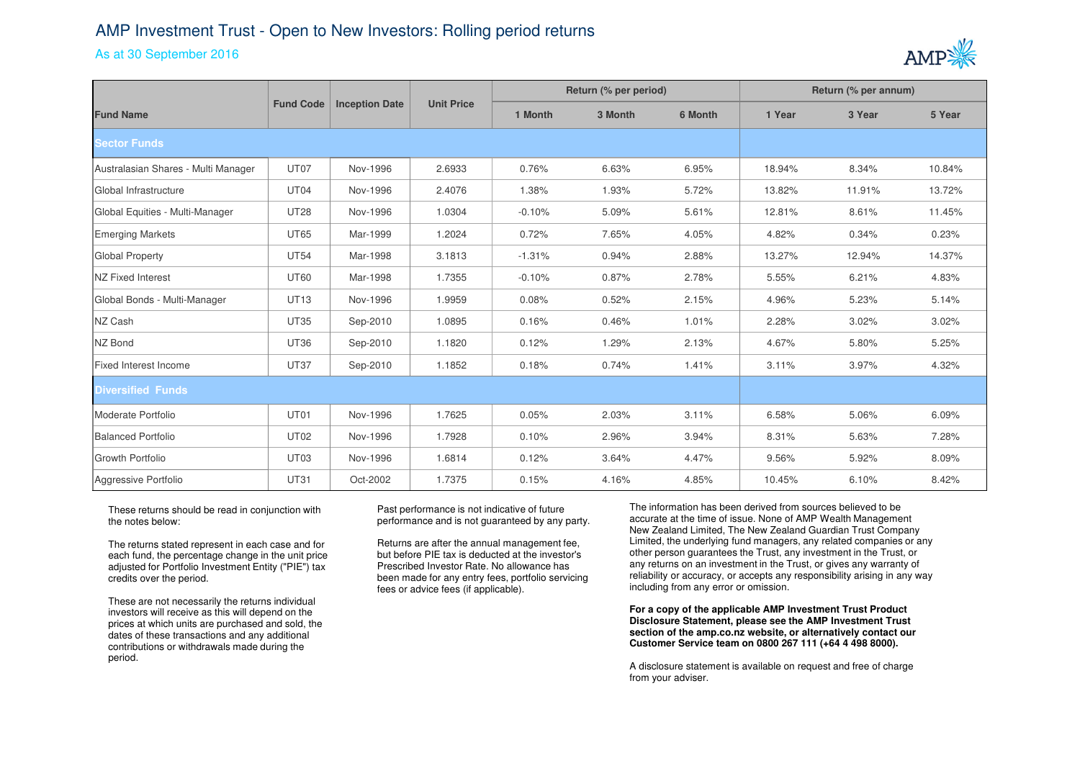## AMP Investment Trust - Open to New Investors: Rolling period returns

## As at 30 September 2016



|                                     |                  |                       | <b>Unit Price</b> | Return (% per period) |         |         | Return (% per annum) |        |        |
|-------------------------------------|------------------|-----------------------|-------------------|-----------------------|---------|---------|----------------------|--------|--------|
| <b>Fund Name</b>                    | <b>Fund Code</b> | <b>Inception Date</b> |                   | 1 Month               | 3 Month | 6 Month | 1 Year               | 3 Year | 5 Year |
| <b>Sector Funds</b>                 |                  |                       |                   |                       |         |         |                      |        |        |
| Australasian Shares - Multi Manager | UT07             | Nov-1996              | 2.6933            | 0.76%                 | 6.63%   | 6.95%   | 18.94%               | 8.34%  | 10.84% |
| Global Infrastructure               | UT04             | Nov-1996              | 2.4076            | 1.38%                 | 1.93%   | 5.72%   | 13.82%               | 11.91% | 13.72% |
| Global Equities - Multi-Manager     | <b>UT28</b>      | Nov-1996              | 1.0304            | $-0.10%$              | 5.09%   | 5.61%   | 12.81%               | 8.61%  | 11.45% |
| <b>Emerging Markets</b>             | <b>UT65</b>      | Mar-1999              | 1.2024            | 0.72%                 | 7.65%   | 4.05%   | 4.82%                | 0.34%  | 0.23%  |
| Global Property                     | <b>UT54</b>      | Mar-1998              | 3.1813            | $-1.31%$              | 0.94%   | 2.88%   | 13.27%               | 12.94% | 14.37% |
| <b>NZ Fixed Interest</b>            | <b>UT60</b>      | Mar-1998              | 1.7355            | $-0.10%$              | 0.87%   | 2.78%   | 5.55%                | 6.21%  | 4.83%  |
| Global Bonds - Multi-Manager        | <b>UT13</b>      | Nov-1996              | 1.9959            | 0.08%                 | 0.52%   | 2.15%   | 4.96%                | 5.23%  | 5.14%  |
| NZ Cash                             | <b>UT35</b>      | Sep-2010              | 1.0895            | 0.16%                 | 0.46%   | 1.01%   | 2.28%                | 3.02%  | 3.02%  |
| <b>NZ Bond</b>                      | <b>UT36</b>      | Sep-2010              | 1.1820            | 0.12%                 | 1.29%   | 2.13%   | 4.67%                | 5.80%  | 5.25%  |
| Fixed Interest Income               | <b>UT37</b>      | Sep-2010              | 1.1852            | 0.18%                 | 0.74%   | 1.41%   | 3.11%                | 3.97%  | 4.32%  |
| <b>Diversified Funds</b>            |                  |                       |                   |                       |         |         |                      |        |        |
| Moderate Portfolio                  | UT01             | Nov-1996              | 1.7625            | 0.05%                 | 2.03%   | 3.11%   | 6.58%                | 5.06%  | 6.09%  |
| Balanced Portfolio                  | <b>UT02</b>      | Nov-1996              | 1.7928            | 0.10%                 | 2.96%   | 3.94%   | 8.31%                | 5.63%  | 7.28%  |
| Growth Portfolio                    | UT03             | Nov-1996              | 1.6814            | 0.12%                 | 3.64%   | 4.47%   | 9.56%                | 5.92%  | 8.09%  |
| Aggressive Portfolio                | <b>UT31</b>      | Oct-2002              | 1.7375            | 0.15%                 | 4.16%   | 4.85%   | 10.45%               | 6.10%  | 8.42%  |

These returns should be read in conjunction with the notes below:

The returns stated represent in each case and for each fund, the percentage change in the unit price adjusted for Portfolio Investment Entity ("PIE") tax credits over the period.

These are not necessarily the returns individual investors will receive as this will depend on the prices at which units are purchased and sold, the dates of these transactions and any additional contributions or withdrawals made during the period.

Past performance is not indicative of future performance and is not guaranteed by any party.

Returns are after the annual management fee, but before PIE tax is deducted at the investor's Prescribed Investor Rate. No allowance has been made for any entry fees, portfolio servicing fees or advice fees (if applicable).

The information has been derived from sources believed to be accurate at the time of issue. None of AMP Wealth Management New Zealand Limited, The New Zealand Guardian Trust Company Limited, the underlying fund managers, any related companies or any other person guarantees the Trust, any investment in the Trust, or any returns on an investment in the Trust, or gives any warranty of reliability or accuracy, or accepts any responsibility arising in any way including from any error or omission.

**For a copy of the applicable AMP Investment Trust Product Disclosure Statement, please see the AMP Investment Trust section of the amp.co.nz website, or alternatively contact our Customer Service team on 0800 267 111 (+64 4 498 8000).**

A disclosure statement is available on request and free of charge from your adviser.